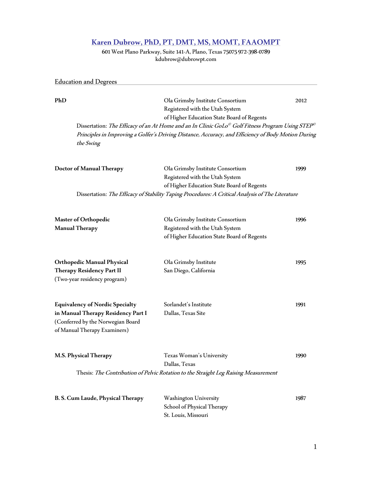# **Karen Dubrow, PhD, PT, DMT, MS, MOMT,FAAOMPT**

601 West Plano Parkway, Suite 141-A, Plano, Texas 75075 972-398-0789 kdubrow@dubrowpt.com

Education and Degrees**\_\_\_\_\_\_\_\_\_\_\_\_\_\_\_\_\_\_\_\_\_\_\_\_\_\_\_\_\_\_\_\_\_\_\_\_\_\_\_\_\_\_\_\_\_\_\_ PhD** Ola Grimsby Institute Consortium 2012 Registered with the Utah System of Higher Education State Board of Regents Dissertation: *The Efficacy of an At Home and an In Clinic GoLo* $^\circ$  *Golf Fitness Program Using STEP* $^\circ$ Principles in Improving a Golfer's Driving Distance, Accuracy, and Efficiency of Body Motion During the Swing **Doctor of Manual Therapy** Ola Grimsby Institute Consortium 1999 Registered with the Utah System of Higher Education State Board of Regents Dissertation: The Efficacy of Stability Taping Procedures: A Critical Analysis of The Literature **Master of Orthopedic** Ola Grimsby Institute Consortium 1996 **Manual Therapy** Registered with the Utah System of Higher Education State Board of Regents **OrthopedicManual Physical** Ola Grimsby Institute 1995 **Therapy Residency Part II** San Diego, California (Two-year residency program) **Equivalency of Nordic Specialty** Sorlandet's Institute 1991 **in Manual Therapy Residency Part I** Dallas, Texas Site (Conferred by the Norwegian Board of Manual Therapy Examiners) **M.S. Physical Therapy** Texas Woman's University 1990 Dallas, Texas Thesis: The Contribution of Pelvic Rotation to the Straight Leg Raising Measurement **B. S. Cum Laude, Physical Therapy** Washington University 1987 School of Physical Therapy

St. Louis, Missouri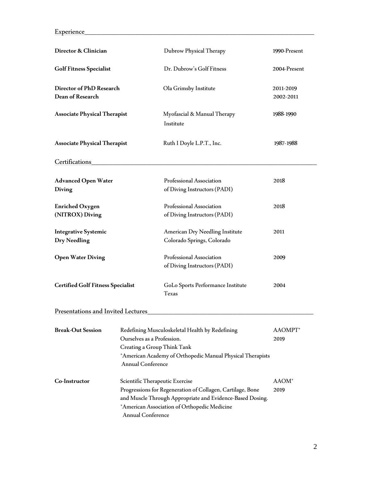Experience**\_\_\_\_\_\_\_\_\_\_\_\_\_\_\_\_\_\_\_\_\_\_\_\_\_\_\_\_\_\_\_\_\_\_\_\_\_\_\_\_\_\_\_\_\_\_\_\_\_\_\_\_\_\_**

| Director & Clinician                               |                                                                                                                                                                                                 | Dubrow Physical Therapy                                                                                                                                                 | 1990-Present              |
|----------------------------------------------------|-------------------------------------------------------------------------------------------------------------------------------------------------------------------------------------------------|-------------------------------------------------------------------------------------------------------------------------------------------------------------------------|---------------------------|
| <b>Golf Fitness Specialist</b>                     |                                                                                                                                                                                                 | Dr. Dubrow's Golf Fitness                                                                                                                                               | 2004-Present              |
| Director of PhD Research<br>Dean of Research       |                                                                                                                                                                                                 | Ola Grimsby Institute                                                                                                                                                   | 2011-2019<br>2002-2011    |
| <b>Associate Physical Therapist</b>                |                                                                                                                                                                                                 | Myofascial & Manual Therapy<br>Institute                                                                                                                                | 1988-1990                 |
| <b>Associate Physical Therapist</b>                |                                                                                                                                                                                                 | Ruth I Doyle L.P.T., Inc.                                                                                                                                               | 1987-1988                 |
| Certifications                                     |                                                                                                                                                                                                 |                                                                                                                                                                         |                           |
| <b>Advanced Open Water</b><br>Diving               |                                                                                                                                                                                                 | Professional Association<br>of Diving Instructors (PADI)                                                                                                                | 2018                      |
| <b>Enriched Oxygen</b><br>(NITROX) Diving          |                                                                                                                                                                                                 | Professional Association<br>of Diving Instructors (PADI)                                                                                                                | 2018                      |
| <b>Integrative Systemic</b><br><b>Dry Needling</b> |                                                                                                                                                                                                 | American Dry Needling Institute<br>Colorado Springs, Colorado                                                                                                           | 2011                      |
| <b>Open Water Diving</b>                           |                                                                                                                                                                                                 | Professional Association<br>of Diving Instructors (PADI)                                                                                                                | 2009                      |
| <b>Certified Golf Fitness Specialist</b>           |                                                                                                                                                                                                 | GoLo Sports Performance Institute<br><b>Texas</b>                                                                                                                       | 2004                      |
| Presentations and Invited Lectures                 |                                                                                                                                                                                                 |                                                                                                                                                                         |                           |
| <b>Break-Out Session</b>                           | Redefining Musculoskeletal Health by Redefining<br>Ourselves as a Profession.<br>Creating a Group Think Tank<br>*American Academy of Orthopedic Manual Physical Therapists<br>Annual Conference |                                                                                                                                                                         | AAOMPT*<br>2019           |
| Co-Instructor                                      | Scientific Therapeutic Exercise<br>Annual Conference                                                                                                                                            | Progressions for Regeneration of Collagen, Cartilage, Bone<br>and Muscle Through Appropriate and Evidence-Based Dosing.<br>*American Association of Orthopedic Medicine | AAOM <sup>*</sup><br>2019 |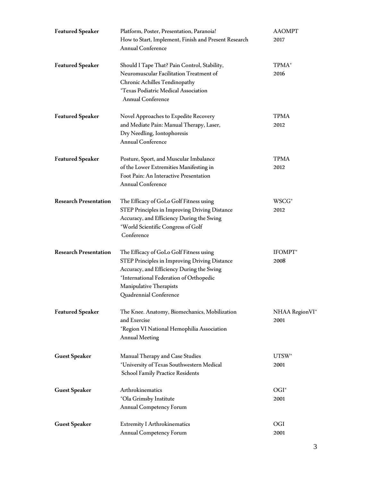| <b>Featured Speaker</b>      | Platform, Poster, Presentation, Paranoia!<br>How to Start, Implement, Finish and Present Research<br><b>Annual Conference</b>                                                                                                         | <b>AAOMPT</b><br>2017     |
|------------------------------|---------------------------------------------------------------------------------------------------------------------------------------------------------------------------------------------------------------------------------------|---------------------------|
| <b>Featured Speaker</b>      | Should I Tape That? Pain Control, Stability,<br>Neuromuscular Facilitation Treatment of<br>Chronic Achilles Tendinopathy<br><i>*Texas Podiatric Medical Association</i><br>Annual Conference                                          | TPMA <sup>*</sup><br>2016 |
| <b>Featured Speaker</b>      | Novel Approaches to Expedite Recovery<br>and Mediate Pain: Manual Therapy, Laser,<br>Dry Needling, Iontophoresis<br>Annual Conference                                                                                                 | TPMA<br>2012              |
| <b>Featured Speaker</b>      | Posture, Sport, and Muscular Imbalance<br>of the Lower Extremities Manifesting in<br>Foot Pain: An Interactive Presentation<br>Annual Conference                                                                                      | <b>TPMA</b><br>2012       |
| <b>Research Presentation</b> | The Efficacy of GoLo Golf Fitness using<br>STEP Principles in Improving Driving Distance<br>Accuracy, and Efficiency During the Swing<br>*World Scientific Congress of Golf<br>Conference                                             | WSCG <sup>*</sup><br>2012 |
| <b>Research Presentation</b> | The Efficacy of GoLo Golf Fitness using<br>STEP Principles in Improving Driving Distance<br>Accuracy, and Efficiency During the Swing<br>*International Federation of Orthopedic<br>Manipulative Therapists<br>Quadrennial Conference | IFOMPT*<br>2008           |
| <b>Featured Speaker</b>      | The Knee. Anatomy, Biomechanics, Mobilization<br>and Exercise<br>*Region VI National Hemophilia Association<br><b>Annual Meeting</b>                                                                                                  | NHAA RegionVI*<br>2001    |
| <b>Guest Speaker</b>         | Manual Therapy and Case Studies<br>*University of Texas Southwestern Medical<br>School Family Practice Residents                                                                                                                      | $UTSW^*$<br>2001          |
| <b>Guest Speaker</b>         | Arthrokinematics<br>*Ola Grimsby Institute<br>Annual Competency Forum                                                                                                                                                                 | $OGI*$<br>2001            |
| <b>Guest Speaker</b>         | <b>Extremity I Arthrokinematics</b><br>Annual Competency Forum                                                                                                                                                                        | OGI<br>2001               |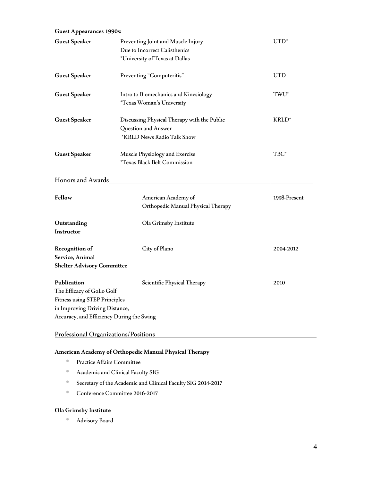| <b>Guest Appearances 1990s:</b>                                                                                                                                 |                                                                                                       |                   |
|-----------------------------------------------------------------------------------------------------------------------------------------------------------------|-------------------------------------------------------------------------------------------------------|-------------------|
| <b>Guest Speaker</b>                                                                                                                                            | Preventing Joint and Muscle Injury<br>Due to Incorrect Calisthenics<br>*University of Texas at Dallas | $UTD^*$           |
| <b>Guest Speaker</b>                                                                                                                                            | Preventing "Computeritis"                                                                             | <b>UTD</b>        |
| <b>Guest Speaker</b>                                                                                                                                            | Intro to Biomechanics and Kinesiology<br><i>*Texas Woman's University</i>                             | TWU <sup>*</sup>  |
| <b>Guest Speaker</b>                                                                                                                                            | Discussing Physical Therapy with the Public<br>Question and Answer<br>*KRLD News Radio Talk Show      | KRLD <sup>*</sup> |
| <b>Guest Speaker</b>                                                                                                                                            | Muscle Physiology and Exercise<br><i>*Texas Black Belt Commission</i>                                 | TBC*              |
| Honors and Awards                                                                                                                                               |                                                                                                       |                   |
| Fellow                                                                                                                                                          | American Academy of<br>Orthopedic Manual Physical Therapy                                             | 1998-Present      |
| Outstanding<br>Instructor                                                                                                                                       | Ola Grimsby Institute                                                                                 |                   |
| <b>Recognition of</b><br>Service, Animal<br><b>Shelter Advisory Committee</b>                                                                                   | City of Plano                                                                                         | 2004-2012         |
| Publication<br>The Efficacy of GoLo Golf<br><b>Fitness using STEP Principles</b><br>in Improving Driving Distance,<br>Accuracy, and Efficiency During the Swing | Scientific Physical Therapy                                                                           | 2010              |
| Professional Organizations/Positions                                                                                                                            |                                                                                                       |                   |

# **American Academy of Orthopedic Manual Physical Therapy**

- **Practice Affairs Committee**
- Academic and Clinical Faculty SIG
- Secretary of the Academic and Clinical Faculty SIG 2014-2017
- Conference Committee 2016-2017

# **Ola Grimsby Institute**

**Advisory Board**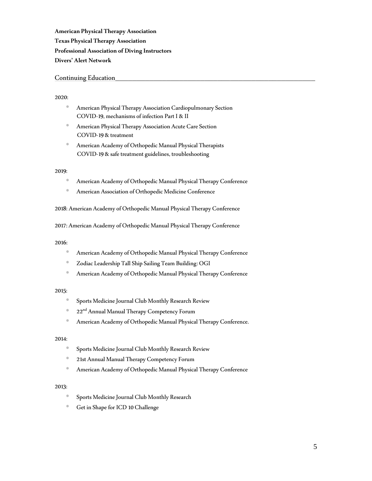**American Physical Therapy Association Texas Physical Therapy Association Professional Association of Diving Instructors Divers' Alert Network**

## Continuing Education**\_\_\_\_\_\_\_\_\_\_\_\_\_\_\_\_\_\_\_\_\_\_\_\_\_\_\_\_\_\_\_\_\_\_\_\_\_\_\_\_\_\_\_\_\_\_\_**

#### 2020:

- **American Physical Therapy Association Cardiopulmonary Section** COVID-19, mechanisms of infection Part I & II
- **American Physical Therapy Association Acute Care Section** COVID-19 & treatment
- American Academy of Orthopedic Manual Physical Therapists COVID-19 & safe treatment guidelines, troubleshooting

#### 2019:

- American Academy of Orthopedic Manual Physical Therapy Conference
- **American Association of Orthopedic Medicine Conference**

2018: American Academy of Orthopedic Manual Physical Therapy Conference

2017: American Academy of Orthopedic Manual Physical Therapy Conference

#### 2016:

- American Academy of Orthopedic Manual Physical Therapy Conference
- Zodiac Leadership Tall Ship Sailing Team Building: OGI
- American Academy of Orthopedic Manual Physical Therapy Conference

# 2015:

- **Sports Medicine Journal Club Monthly Research Review**
- <sup>1</sup> 22<sup>nd</sup> Annual Manual Therapy Competency Forum
- American Academy of Orthopedic Manual Physical Therapy Conference.

#### 2014:

- **Sports Medicine Journal Club Monthly Research Review**
- <sup>1</sup> 21st Annual Manual Therapy Competency Forum
- American Academy of Orthopedic Manual Physical Therapy Conference

## 2013:

- **Sports Medicine Journal Club Monthly Research**
- Get in Shape for ICD 10 Challenge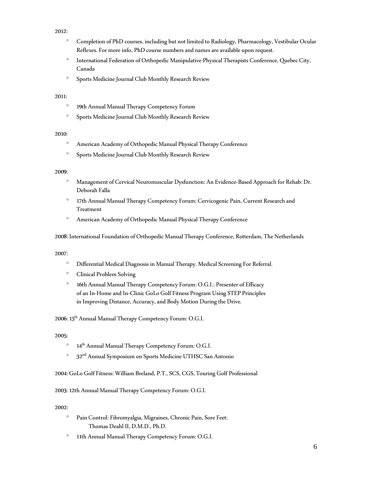## 2012:

- Completion of PhD courses, including but not limited to Radiology, Pharmacology, Vestibular Ocular Reflexes. For more info, PhD course numbers and names are available upon request.
- **International Federation of Orthopedic Manipulative Physical Therapists Conference, Quebec City,** Canada
- **Sports Medicine Journal Club Monthly Research Review**

## 2011:

- 19th Annual Manual Therapy Competency Forum
- **Sports Medicine Journal Club Monthly Research Review**

# 2010:

- American Academy of Orthopedic Manual Physical Therapy Conference
- **Sports Medicine Journal Club Monthly Research Review**

## 2009:

- Management of Cervical Neuromuscular Dysfunction: An Evidence-Based Approach for Rehab: Dr. Deborah Falla
- 17th Annual Manual Therapy Competency Forum: Cervicogenic Pain, Current Research and Treatment
- American Academy of Orthopedic Manual Physical Therapy Conference

2008: International Foundation of Orthopedic Manual Therapy Conference, Rotterdam, The Netherlands

2007:

- Differential Medical Diagnosis in Manual Therapy. Medical Screening For Referral.
- **Clinical Problem Solving**
- 16th Annual Manual Therapy Competency Forum: O.G.I.: Presenter of Efficacy of an In-Home and In-Clinic GoLo Golf Fitness Program Using STEP Principles in Improving Distance, Accuracy, and Body Motion During the Drive.

2006: 15<sup>th</sup> Annual Manual Therapy Competency Forum: O.G.I.

2005:

- <sup>14th</sup> Annual Manual Therapy Competency Forum: O.G.I.
- <sup>®</sup> 32<sup>nd</sup> Annual Symposium on Sports Medicine UTHSC San Antonio

2004: GoLo Golf Fitness: William Breland, P.T., SCS, CGS, Touring Golf Professional

2003: 12th Annual Manual Therapy Competency Forum: O.G.I.

# 2002:

- Pain Control: Fibromyalgia, Migraines, Chronic Pain, Sore Feet: Thomas Deahl II, D.M.D., Ph.D.
- 11th Annual Manual Therapy Competency Forum: O.G.I.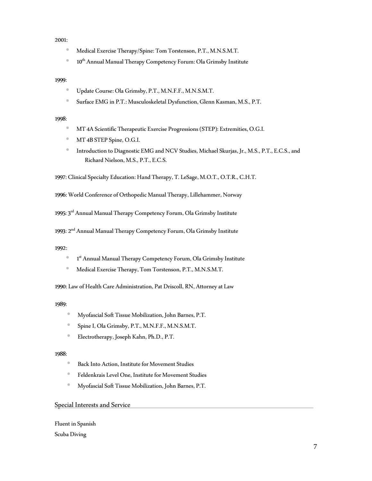### 2001:

- **Medical Exercise Therapy/Spine: Tom Torstenson, P.T., M.N.S.M.T.**
- <sup>10th</sup> Annual Manual Therapy Competency Forum: Ola Grimsby Institute

### 1999:

- Update Course: Ola Grimsby, P.T., M.N.F.F., M.N.S.M.T.
- Surface EMG in P.T.: Musculoskeletal Dysfunction, Glenn Kasman, M.S., P.T.

#### 1998:

- **MT 4A Scientific Therapeutic Exercise Progressions (STEP): Extremities, O.G.I.**
- **MT 4B STEP Spine, O.G.I.**
- Introduction to Diagnostic EMG and NCV Studies, Michael Skurjas, Jr.,M.S., P.T., E.C.S., and Richard Nielson, M.S., P.T., E.C.S.

1997: Clinical Specialty Education: Hand Therapy, T. LeSage, M.O.T., O.T.R., C.H.T.

1996: World Conference of Orthopedic Manual Therapy, Lillehammer, Norway

1995: 3 rd Annual Manual Therapy Competency Forum, Ola Grimsby Institute

1993: 2 nd Annual Manual Therapy Competency Forum, Ola Grimsby Institute

1992:

- 1 st Annual Manual Therapy Competency Forum, Ola Grimsby Institute
- Medical Exercise Therapy, Tom Torstenson, P.T., M.N.S.M.T.

1990: Law of Health Care Administration, Pat Driscoll, RN, Attorney at Law

1989:

- Myofascial Soft Tissue Mobilization, John Barnes, P.T.
- Spine I, Ola Grimsby, P.T., M.N.F.F., M.N.S.M.T.
- Electrotherapy, Joseph Kahn, Ph.D., P.T.

#### 1988:

- **Back Into Action, Institute for Movement Studies**
- Feldenkrais Level One, Institute for Movement Studies
- Myofascial Soft Tissue Mobilization, John Barnes, P.T.

## Special Interests and Service**\_\_\_\_\_\_\_\_\_\_\_\_\_\_\_\_\_\_\_\_\_\_\_\_\_\_\_\_\_\_\_\_\_\_\_\_\_\_\_\_\_\_\_**

Fluent in Spanish Scuba Diving